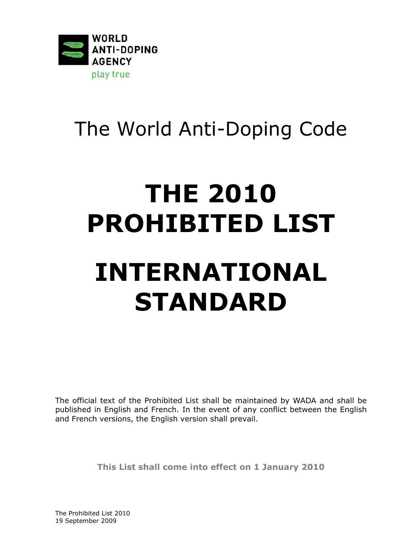

# The World Anti-Doping Code

# **THE 2010 PROHIBITED LIST INTERNATIONAL STANDARD**

The official text of the *Prohibited List* shall be maintained by *WADA* and shall be published in English and French. In the event of any conflict between the English and French versions, the English version shall prevail.

**This List shall come into effect on 1 January 2010** 

The Prohibited List 2010 19 September 2009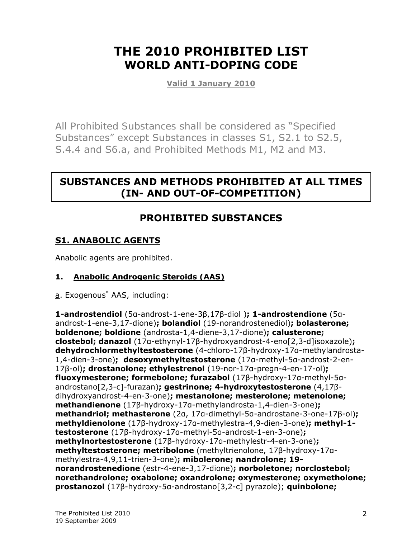# **THE 2010 PROHIBITED LIST WORLD ANTI-DOPING CODE**

**Valid 1 January 2010**

All *Prohibited Substances* shall be considered as "Specified Substances" except Substances in classes S1, S2.1 to S2.5, S.4.4 and S6.a, and *Prohibited Methods* M1, M2 and M3.

# **SUBSTANCES AND METHODS PROHIBITED AT ALL TIMES (IN- AND OUT-OF-COMPETITION)**

## **PROHIBITED SUBSTANCES**

#### **S1. ANABOLIC AGENTS**

Anabolic agents are prohibited.

#### **1. Anabolic Androgenic Steroids (AAS)**

a. Exogenous<sup>\*</sup> AAS, including:

**1-androstendiol** (5α-androst-1-ene-3β,17β-diol )**; 1-androstendione** (5αandrost-1-ene-3,17-dione)**; bolandiol** (19-norandrostenediol)**; bolasterone; boldenone; boldione** (androsta-1,4-diene-3,17-dione)**; calusterone; clostebol; danazol** (17α-ethynyl-17β-hydroxyandrost-4-eno[2,3-d]isoxazole)**; dehydrochlormethyltestosterone** (4-chloro-17β-hydroxy-17α-methylandrosta-1,4-dien-3-one)**; desoxymethyltestosterone** (17α-methyl-5α-androst-2-en-17β-ol)**; drostanolone; ethylestrenol** (19-nor-17α-pregn-4-en-17-ol)**; fluoxymesterone; formebolone; furazabol** (17β-hydroxy-17α-methyl-5αandrostano[2,3-c]-furazan)**; gestrinone; 4-hydroxytestosterone** (4,17βdihydroxyandrost-4-en-3-one)**; mestanolone; mesterolone; metenolone; methandienone** (17β-hydroxy-17α-methylandrosta-1,4-dien-3-one)**; methandriol; methasterone** (2α, 17α-dimethyl-5α-androstane-3-one-17β-ol)**; methyldienolone** (17β-hydroxy-17α-methylestra-4,9-dien-3-one)**; methyl-1 testosterone** (17β-hydroxy-17α-methyl-5α-androst-1-en-3-one)**; methylnortestosterone** (17β-hydroxy-17α-methylestr-4-en-3-one)**; methyltestosterone; metribolone** (methyltrienolone, 17β-hydroxy-17αmethylestra-4,9,11-trien-3-one)**; mibolerone; nandrolone; 19 norandrostenedione** (estr-4-ene-3,17-dione)**; norboletone; norclostebol; norethandrolone; oxabolone; oxandrolone; oxymesterone; oxymetholone; prostanozol** (17β-hydroxy-5α-androstano[3,2-c] pyrazole); **quinbolone;**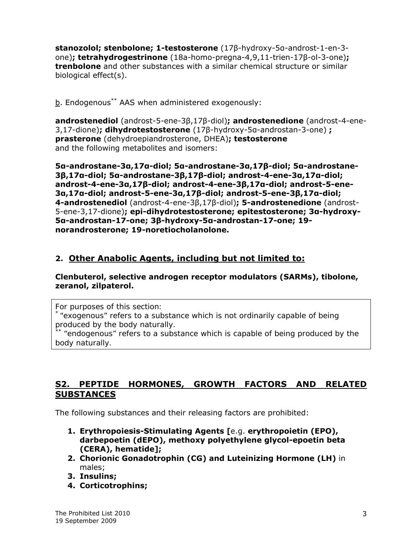**stanozolol; stenbolone; 1-testosterone** (17β-hydroxy-5α-androst-1-en-3 one)**; tetrahydrogestrinone** (18a-homo-pregna-4,9,11-trien-17β-ol-3-one)**; trenbolone** and other substances with a similar chemical structure or similar biological effect(s).

b. Endogenous\*\* AAS when administered exogenously:

**androstenediol** (androst-5-ene-3β,17β-diol)**; androstenedione** (androst-4-ene-3,17-dione)**; dihydrotestosterone** (17β-hydroxy-5α-androstan-3-one) **; prasterone** (dehydroepiandrosterone, DHEA)**; testosterone** and the following metabolites and isomers:

**5α-androstane-3α,17α-diol; 5α-androstane-3α,17β-diol; 5α-androstane-3β,17α-diol; 5α-androstane-3β,17β-diol; androst-4-ene-3α,17α-diol; androst-4-ene-3α,17β-diol; androst-4-ene-3β,17α-diol; androst-5-ene-3α,17α-diol; androst-5-ene-3α,17β-diol; androst-5-ene-3β,17α-diol; 4-androstenediol** (androst-4-ene-3β,17β-diol)**; 5-androstenedione** (androst-5-ene-3,17-dione)**; epi-dihydrotestosterone; epitestosterone; 3α-hydroxy-5α-androstan-17-one; 3β-hydroxy-5α-androstan-17-one; 19 norandrosterone; 19-noretiocholanolone.** 

#### **2. Other Anabolic Agents, including but not limited to:**

#### **Clenbuterol, selective androgen receptor modulators (SARMs), tibolone, zeranol, zilpaterol.**

*For purposes of this section:* 

\* *"exogenous" refers to a substance which is not ordinarily capable of being produced by the body naturally.*

\*\* *"endogenous" refers to a substance which is capable of being produced by the body naturally.*

#### **S2. PEPTIDE HORMONES, GROWTH FACTORS AND RELATED SUBSTANCES**

The following substances and their releasing factors are prohibited:

- **1. Erythropoiesis-Stimulating Agents [**e.g. **erythropoietin (EPO), darbepoetin (dEPO), methoxy polyethylene glycol-epoetin beta (CERA), hematide];**
- **2. Chorionic Gonadotrophin (CG) and Luteinizing Hormone (LH)** in males;
- **3. Insulins;**
- **4. Corticotrophins;**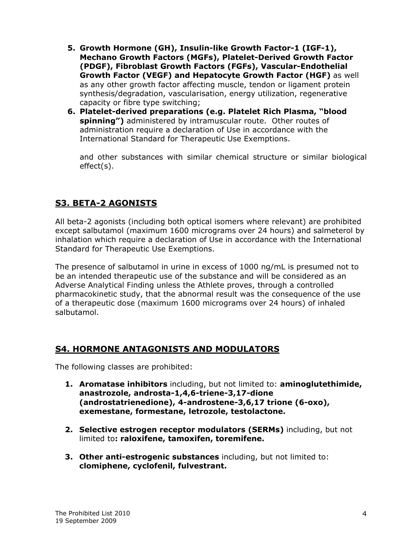- **5. Growth Hormone (GH), Insulin-like Growth Factor-1 (IGF-1), Mechano Growth Factors (MGFs), Platelet-Derived Growth Factor (PDGF), Fibroblast Growth Factors (FGFs), Vascular-Endothelial Growth Factor (VEGF) and Hepatocyte Growth Factor (HGF)** as well as any other growth factor affecting muscle, tendon or ligament protein synthesis/degradation, vascularisation, energy utilization, regenerative capacity or fibre type switching;
- **6. Platelet-derived preparations (e.g. Platelet Rich Plasma, "blood spinning")** administered by intramuscular route. Other routes of administration require a declaration of *Use* in accordance with the International Standard for Therapeutic Use Exemptions.

and other substances with similar chemical structure or similar biological effect(s).

#### **S3. BETA-2 AGONISTS**

All beta-2 agonists (including both optical isomers where relevant) are prohibited except salbutamol (maximum 1600 micrograms over 24 hours) and salmeterol by inhalation which require a declaration of *Use* in accordance with the International Standard for Therapeutic Use Exemptions.

The presence of salbutamol in urine in excess of 1000 ng/mL is presumed not to be an intended therapeutic use of the substance and will be considered as an *Adverse Analytical Finding* unless the *Athlete* proves, through a controlled pharmacokinetic study, that the abnormal result was the consequence of the use of a therapeutic dose (maximum 1600 micrograms over 24 hours) of inhaled salbutamol.

#### **S4. HORMONE ANTAGONISTS AND MODULATORS**

The following classes are prohibited:

- **1. Aromatase inhibitors** including, but not limited to: **aminoglutethimide, anastrozole, androsta-1,4,6-triene-3,17-dione (androstatrienedione), 4-androstene-3,6,17 trione (6-oxo), exemestane, formestane, letrozole, testolactone.**
- **2. Selective estrogen receptor modulators (SERMs)** including, but not limited to**: raloxifene, tamoxifen, toremifene.**
- **3. Other anti-estrogenic substances** including, but not limited to: **clomiphene, cyclofenil, fulvestrant.**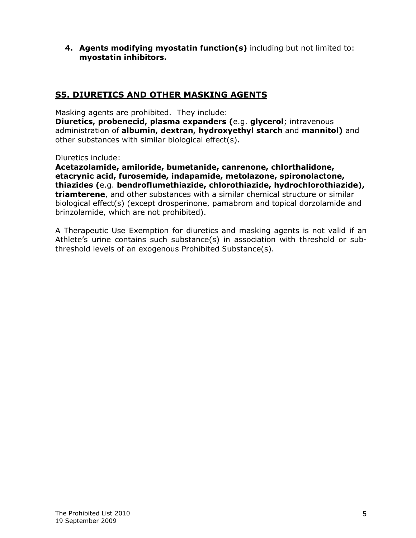**4. Agents modifying myostatin function(s)** including but not limited to: **myostatin inhibitors.** 

#### **S5. DIURETICS AND OTHER MASKING AGENTS**

Masking agents are prohibited. They include:

**Diuretics, probenecid, plasma expanders (**e.g. **glycerol**; intravenous administration of **albumin, dextran, hydroxyethyl starch** and **mannitol)** and other substances with similar biological effect(s).

Diuretics include:

**Acetazolamide, amiloride, bumetanide, canrenone, chlorthalidone, etacrynic acid, furosemide, indapamide, metolazone, spironolactone, thiazides (**e.g. **bendroflumethiazide, chlorothiazide, hydrochlorothiazide), triamterene**, and other substances with a similar chemical structure or similar biological effect(s) (except drosperinone, pamabrom and topical dorzolamide and brinzolamide, which are not prohibited).

A Therapeutic Use Exemption for diuretics and masking agents is not valid if an *Athlete*'s urine contains such substance(s) in association with threshold or subthreshold levels of an exogenous *Prohibited Substance*(s)*.*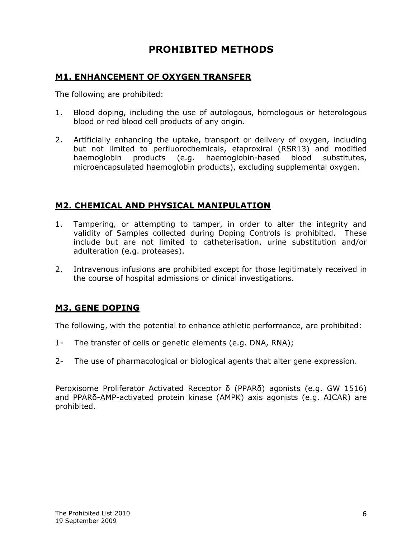### **PROHIBITED METHODS**

#### **M1. ENHANCEMENT OF OXYGEN TRANSFER**

The following are prohibited:

- 1. Blood doping, including the use of autologous, homologous or heterologous blood or red blood cell products of any origin.
- 2. Artificially enhancing the uptake, transport or delivery of oxygen, including but not limited to perfluorochemicals, efaproxiral (RSR13) and modified haemoglobin products (e.g. haemoglobin-based blood substitutes, microencapsulated haemoglobin products), excluding supplemental oxygen.

#### **M2. CHEMICAL AND PHYSICAL MANIPULATION**

- 1. *Tampering,* or attempting to tamper, in order to alter the integrity and validity of *Samples* collected during *Doping Controls* is prohibited. These include but are not limited to catheterisation, urine substitution and/or adulteration (e.g. proteases).
- 2. Intravenous infusions are prohibited except for those legitimately received in the course of hospital admissions or clinical investigations.

#### **M3. GENE DOPING**

The following, with the potential to enhance athletic performance, are prohibited:

- 1- The transfer of cells or genetic elements (e.g. DNA, RNA);
- 2- The use of pharmacological or biological agents that alter gene expression.

Peroxisome Proliferator Activated Receptor δ (PPARδ) agonists (e.g. GW 1516) and PPARδ-AMP-activated protein kinase (AMPK) axis agonists (e.g. AICAR) are prohibited.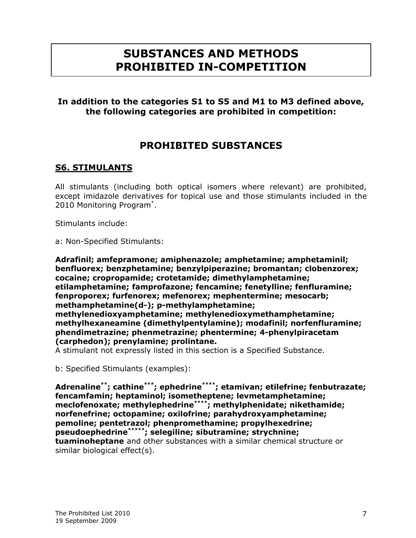# **SUBSTANCES AND METHODS PROHIBITED IN-COMPETITION**

#### **In addition to the categories S1 to S5 and M1 to M3 defined above, the following categories are prohibited in competition:**

#### **PROHIBITED SUBSTANCES**

#### **S6. STIMULANTS**

All stimulants (including both optical isomers where relevant) are prohibited, except imidazole derivatives for topical use and those stimulants included in the 2010 Monitoring Program\* .

Stimulants include:

a: Non-Specified Stimulants:

**Adrafinil; amfepramone; amiphenazole; amphetamine; amphetaminil; benfluorex; benzphetamine; benzylpiperazine; bromantan; clobenzorex; cocaine; cropropamide; crotetamide; dimethylamphetamine; etilamphetamine; famprofazone; fencamine; fenetylline; fenfluramine; fenproporex; furfenorex; mefenorex; mephentermine; mesocarb; methamphetamine(***d***-); p-methylamphetamine; methylenedioxyamphetamine; methylenedioxymethamphetamine; methylhexaneamine (dimethylpentylamine); modafinil; norfenfluramine; phendimetrazine; phenmetrazine; phentermine; 4-phenylpiracetam (carphedon); prenylamine; prolintane.** 

A stimulant not expressly listed in this section is a Specified Substance.

b: Specified Stimulants (examples):

**Adrenaline\*\*; cathine\*\*\*; ephedrine\*\*\*\*; etamivan; etilefrine; fenbutrazate; fencamfamin; heptaminol; isometheptene; levmetamphetamine; meclofenoxate; methylephedrine\*\*\*\*; methylphenidate; nikethamide; norfenefrine; octopamine; oxilofrine; parahydroxyamphetamine; pemoline; pentetrazol; phenpromethamine; propylhexedrine; pseudoephedrine\*\*\*\*\*; selegiline; sibutramine; strychnine; tuaminoheptane** and other substances with a similar chemical structure or similar biological effect(s).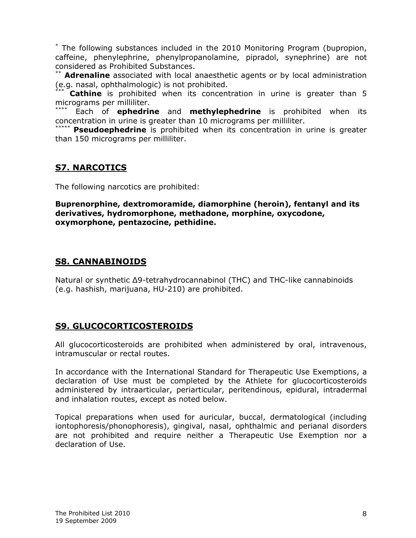\* The following substances included in the 2010 Monitoring Program (bupropion, caffeine, phenylephrine, phenylpropanolamine, pipradol, synephrine) are not considered as *Prohibited Substances*.

\*\* **Adrenaline** associated with local anaesthetic agents or by local administration (e.g. nasal, ophthalmologic) is not prohibited.

**Cathine** is prohibited when its concentration in urine is greater than 5 micrograms per milliliter.

Each of **ephedrine** and **methylephedrine** is prohibited when its concentration in urine is greater than 10 micrograms per milliliter.

**Pseudoephedrine** is prohibited when its concentration in urine is greater than 150 micrograms per milliliter.

#### **S7. NARCOTICS**

The following narcotics are prohibited:

**Buprenorphine, dextromoramide, diamorphine (heroin), fentanyl and its derivatives, hydromorphone, methadone, morphine, oxycodone, oxymorphone, pentazocine, pethidine.** 

#### **S8. CANNABINOIDS**

Natural or synthetic Δ9-tetrahydrocannabinol (THC) and THC-like cannabinoids (e.g. hashish, marijuana, HU-210) are prohibited.

#### **S9. GLUCOCORTICOSTEROIDS**

All glucocorticosteroids are prohibited when administered by oral, intravenous, intramuscular or rectal routes.

In accordance with the International Standard for Therapeutic Use Exemptions, a declaration of *Use* must be completed by the *Athlete* for glucocorticosteroids administered by intraarticular, periarticular, peritendinous, epidural, intradermal and inhalation routes, except as noted below.

Topical preparations when used for auricular, buccal, dermatological (including iontophoresis/phonophoresis), gingival, nasal, ophthalmic and perianal disorders are not prohibited and require neither a Therapeutic Use Exemption nor a declaration of *Use*.